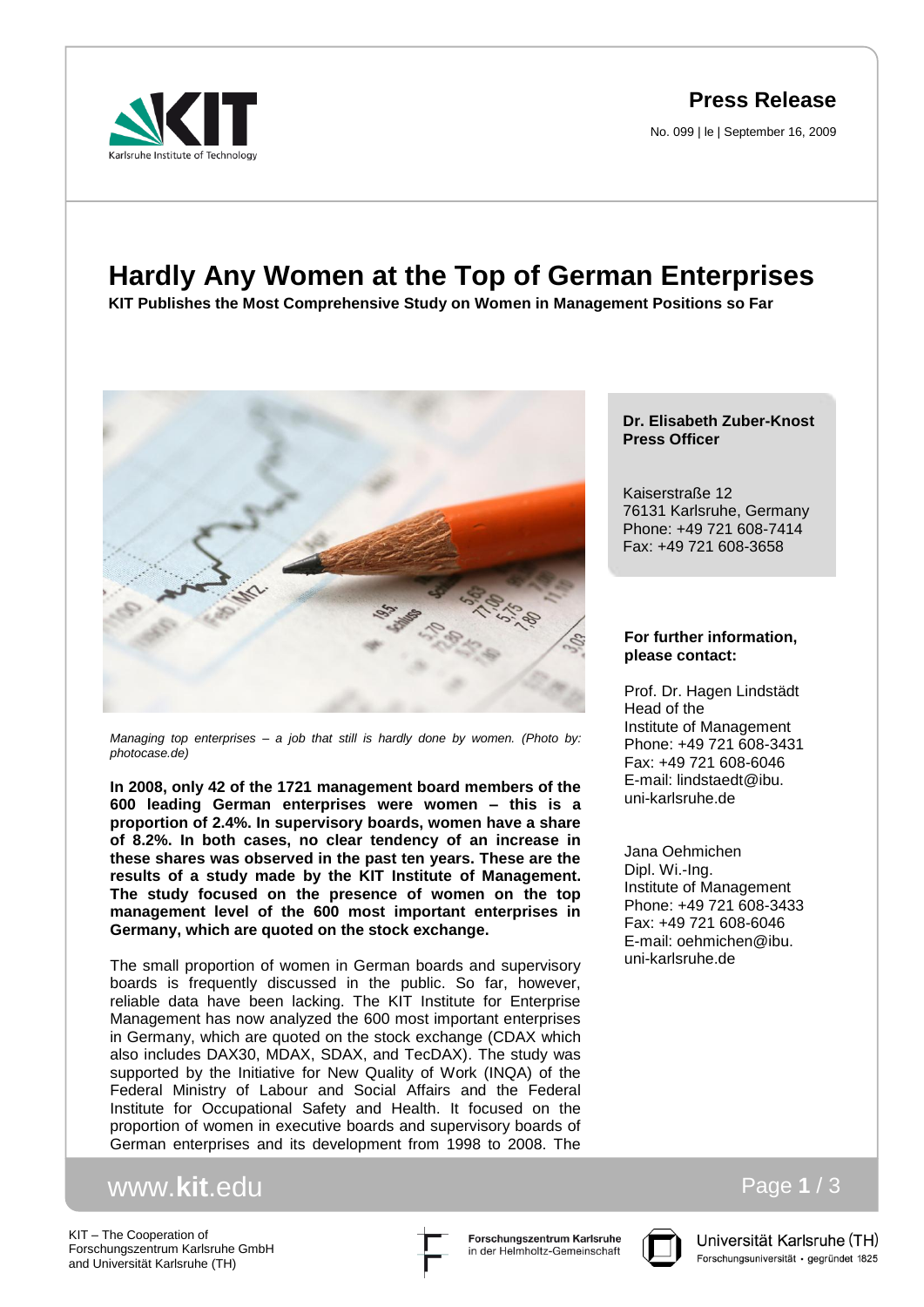**Press Release**

No. 099 | le | September 16, 2009



# **Hardly Any Women at the Top of German Enterprises**

**KIT Publishes the Most Comprehensive Study on Women in Management Positions so Far**



*Managing top enterprises – a job that still is hardly done by women. (Photo by: photocase.de)*

**In 2008, only 42 of the 1721 management board members of the 600 leading German enterprises were women – this is a proportion of 2.4%. In supervisory boards, women have a share of 8.2%. In both cases, no clear tendency of an increase in these shares was observed in the past ten years. These are the results of a study made by the KIT Institute of Management. The study focused on the presence of women on the top management level of the 600 most important enterprises in Germany, which are quoted on the stock exchange.**

The small proportion of women in German boards and supervisory boards is frequently discussed in the public. So far, however, reliable data have been lacking. The KIT Institute for Enterprise Management has now analyzed the 600 most important enterprises in Germany, which are quoted on the stock exchange (CDAX which also includes DAX30, MDAX, SDAX, and TecDAX). The study was supported by the Initiative for New Quality of Work (INQA) of the Federal Ministry of Labour and Social Affairs and the Federal Institute for Occupational Safety and Health. It focused on the proportion of women in executive boards and supervisory boards of German enterprises and its development from 1998 to 2008. The

# www.**kit**.edu

KIT – The Cooperation of Forschungszentrum Karlsruhe GmbH and Universität Karlsruhe (TH)





Universität Karlsruhe (TH) Forschungsuniversität · gegründet 1825

Page **1** / 3

# **Dr. Elisabeth Zuber-Knost Press Officer**

Kaiserstraße 12 76131 Karlsruhe, Germany Phone: +49 721 608-7414 Fax: +49 721 608-3658

## **For further information, please contact:**

Prof. Dr. Hagen Lindstädt Head of the Institute of Management Phone: +49 721 608-3431 Fax: +49 721 608-6046 E-mail: lindstaedt@ibu. uni-karlsruhe.de

Jana Oehmichen Dipl. Wi.-Ing. Institute of Management Phone: +49 721 608-3433 Fax: +49 721 608-6046 E-mail: oehmichen@ibu. uni-karlsruhe.de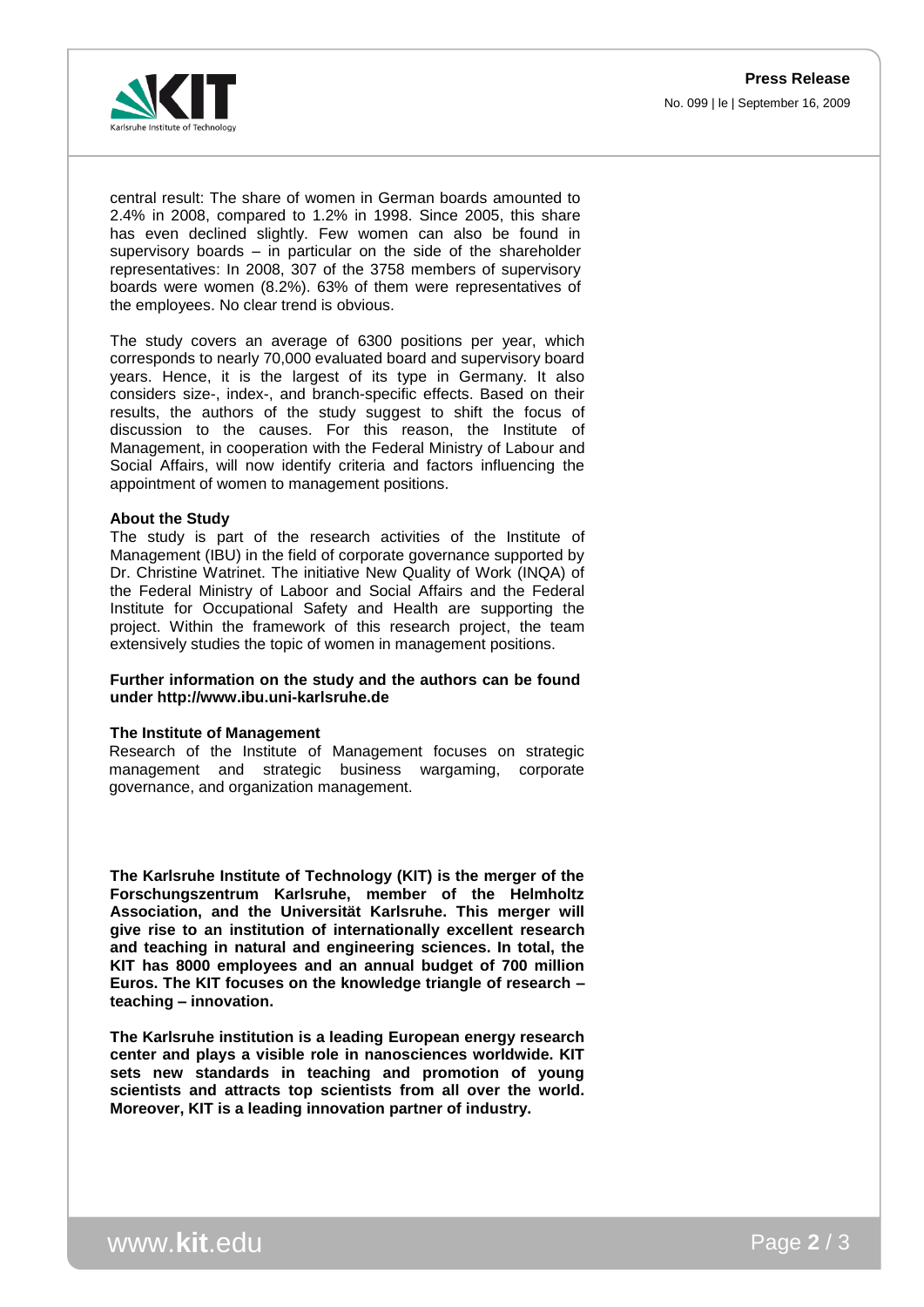

central result: The share of women in German boards amounted to 2.4% in 2008, compared to 1.2% in 1998. Since 2005, this share has even declined slightly. Few women can also be found in supervisory boards – in particular on the side of the shareholder representatives: In 2008, 307 of the 3758 members of supervisory boards were women (8.2%). 63% of them were representatives of the employees. No clear trend is obvious.

The study covers an average of 6300 positions per year, which corresponds to nearly 70,000 evaluated board and supervisory board years. Hence, it is the largest of its type in Germany. It also considers size-, index-, and branch-specific effects. Based on their results, the authors of the study suggest to shift the focus of discussion to the causes. For this reason, the Institute of Management, in cooperation with the Federal Ministry of Labour and Social Affairs, will now identify criteria and factors influencing the appointment of women to management positions.

### **About the Study**

The study is part of the research activities of the Institute of Management (IBU) in the field of corporate governance supported by Dr. Christine Watrinet. The initiative New Quality of Work (INQA) of the Federal Ministry of Laboor and Social Affairs and the Federal Institute for Occupational Safety and Health are supporting the project. Within the framework of this research project, the team extensively studies the topic of women in management positions.

### **Further information on the study and the authors can be found under http://www.ibu.uni-karlsruhe.de**

#### **The Institute of Management**

Research of the Institute of Management focuses on strategic management and strategic business wargaming, corporate governance, and organization management.

**The Karlsruhe Institute of Technology (KIT) is the merger of the Forschungszentrum Karlsruhe, member of the Helmholtz Association, and the Universität Karlsruhe. This merger will give rise to an institution of internationally excellent research and teaching in natural and engineering sciences. In total, the KIT has 8000 employees and an annual budget of 700 million Euros. The KIT focuses on the knowledge triangle of research – teaching – innovation.**

**The Karlsruhe institution is a leading European energy research center and plays a visible role in nanosciences worldwide. KIT sets new standards in teaching and promotion of young scientists and attracts top scientists from all over the world. Moreover, KIT is a leading innovation partner of industry.**